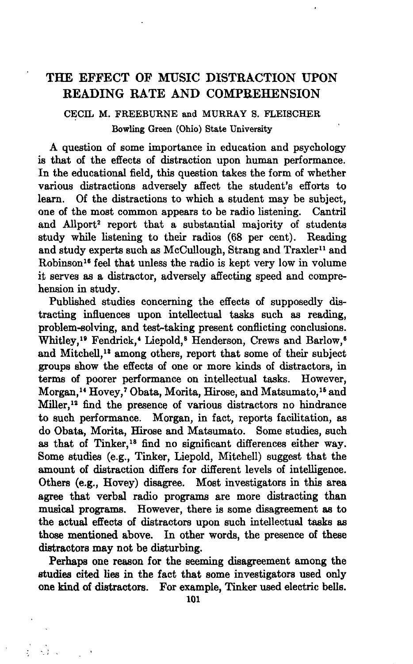# THE EFFECT OF MUSIC DISTRACTION UPON READING RATE AND COMPREHENSION

## CECIL M. FREEBURNE and MURRAY S. FLEISCHER Bowling Green (Ohio) State University

A question of some importance in education and psychology is that of the effects of distraction upon human performance. In the educational field, this question takes the form of whether various distractions adversely affect the student's efforts to learn. Of the distractions to which a student may be subject, one of the most common appears to be radio listening. Cantril and Allport<sup>2</sup> report that a substantial majority of students study while listening to their radios (68 per cent). Reading and study experts such as McCullough, Strang and Traxler<sup>11</sup> and Robinson<sup>16</sup> feel that unless the radio is kept very low in volume it serves as a distractor, adversely affecting speed and comprehension in study.

Published studies concerning the effects of supposedly distracting influences upon intellectual tasks such as reading, problem-solving, and test-taking present conflicting conclusions. Whitley,<sup>19</sup> Fendrick,<sup>4</sup> Liepold,<sup>8</sup> Henderson, Crews and Barlow,<sup>6</sup> and Mitchell,<sup>18</sup> among others, report that some of their subject groups show the effects of one or more kinds of distractors, in terms of poorer performance on intellectual tasks. However, Morgan,<sup>14</sup> Hovey,<sup>7</sup> Obata, Morita, Hirose, and Matsumato,<sup>15</sup> and Miller,<sup>12</sup> find the presence of various distractors no hindrance to such performance. Morgan, in fact, reports facilitation, as do Obata, Morita, Hirose and Matsumato. Some studies, such as that of Tinker,<sup>18</sup> find no significant differences either way. Some studies (e.g., Tinker, Iiepold, Mitchell) suggest that the amount of distraction differs for different levels of intelligence. Others (e.g., Hovey) disagree. Most investigators in this area agree that verbal radio programs are more distracting than musical programs. However, there is some disagreement as to the actual effects of distractors upon such intellectual tasks as those mentioned above. In other words, the presence of these distractors may not be disturbing.

Perhaps one reason for the seeming disagreement among the studies cited lies in the fact that some investigators used only one kind of distractors. For example, Tinker used electric bells.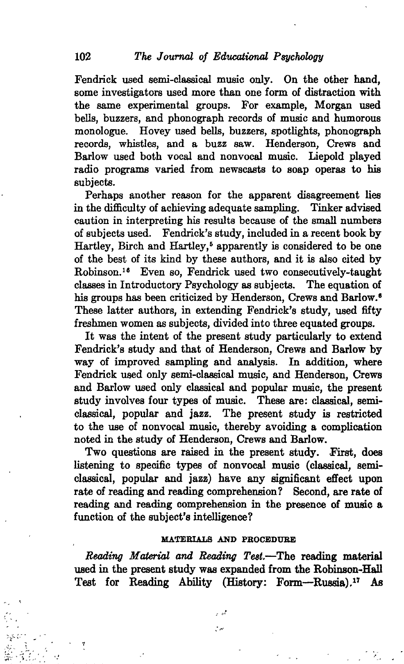Fendrick used semi-classical music only. On the other hand, some investigators used more than one form of distraction with the same experimental groups. For example, Morgan used bells, buzzers, and phonograph records of music and humorous monologue. Hovey used bells, buzzers, spotlights, phonograph records, whistles, and a buzz saw. Henderson, Crews and Barlow used both vocal and nonvocal music. Liepold played radio programs varied from newscasts to soap operas to his subjects.

Perhaps another reason for the apparent disagreement lies in the difficulty of achieving adequate sampling. Tinker advised caution in interpreting his results because of the small numbers of subjects used. Fendrick's study, included in a recent book by Hartley, Birch and Hartley,<sup>5</sup> apparently is considered to be one of the best of its kind by these authors, and it is also cited by Robinson.<sup>16</sup> Even so, Fendrick used two consecutively-taught classes in Introductory Psychology as subjects. The equation of his groups has been criticized by Henderson, Crews and Barlow.<sup>6</sup> These latter authors, in extending Fendrick's study, used fifty freshmen women as subjects, divided into three equated groups.

It was the intent of the present study particularly to extend Fendrick's study and that of Henderson, Crews and Barlow by way of improved sampling and analysis. In addition, where Fendrick used only semi-classical music, and Henderson, Crews and Barlow used only classical and popular music, the present study involves four types of music. These are: classical, semiclassical, popular and jazz. The present study is restricted to the use of nonvocal music, thereby avoiding a complication noted in the study of Henderson, Crews and Barlow.

Two questions are raised in the present study. First, does listening to specific types of nonvocal music (classical, semiclassical, popular and jazz) have any significant effect upon rate of reading and reading comprehension? Second, are rate of reading and reading comprehension in the presence of music a function of the subject's intelligence?

#### **MATEBIALS AND PEOCEDUEE**

*Beading Material and Reading Test.*—The reading material used in the present study was expanded from the Robinson-Hall Teat for Reading Ability (History; Form—Russia).<sup>17</sup> As

> فهواء t er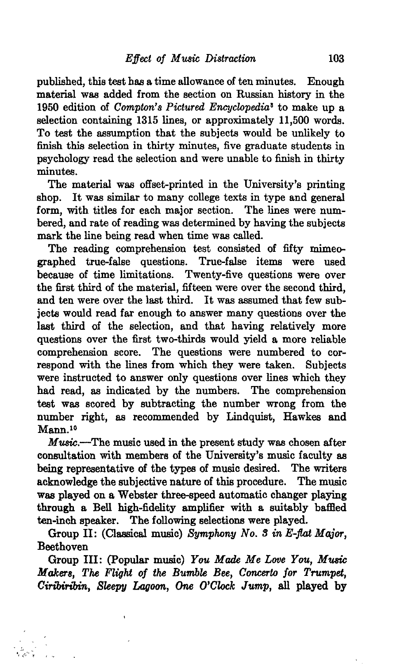published, this test has a time allowance of ten minutes. Enough material was added from the section on Russian history in the 1950 edition of *Compton's Pictured Encyclopedia<sup>1</sup>* to make up a selection containing 1315 lines, or approximately 11,500 words. To test the assumption that the subjects would be unlikely to finish this selection in thirty minutes, five graduate students in psychology read the selection and were unable to finish in thirty minutes.

The material was offset-printed in the University's printing shop. It was similar to many college texts in type and general form, with titles for each major section. The lines were numbered, and rate of reading was determined by having the subjects mark the line being read when time was called.

The reading comprehension test consisted of fifty mimeo-<br>aphed true-false questions. True-false items were used graphed true-false questions. because of time limitations. Twenty-five questions were over the first third of the material, fifteen were over the second third, and ten were over the last third. It was assumed that few subjects would read far enough to answer many questions over the last third of the selection, and that having relatively more questions over the first two-thirds would yield a more reliable comprehension score. The questions were numbered to correspond with the lines from which they were taken. Subjects were instructed to answer only questions over lines which they had read, as indicated by the numbers. The comprehension test was scored by subtracting the number wrong from the number right, as recommended by Iindquist, Hawkes and Mann.<sup>10</sup>

*Music.*—The music used in the present study was chosen after consultation with members of the University's music faculty as being representative of the types of music desired. The writers acknowledge the subjective nature of this procedure. The music was played on a Webster three-speed automatic changer playing through a Bell high-fidelity amplifier with a suitably baffled ten-inch speaker. The following selections were played.

Group II: (Classical music) *Symphony No. S in E-flat Major,* **Beethoven** 

Group III: (Popular music) *You Made Me Love You, Music Makers, The Flight of the Bumble Bee, Concerto for Trumpet, Cirtbiribin, Sleepy Lagoon, One O'Clock Jump,* all played by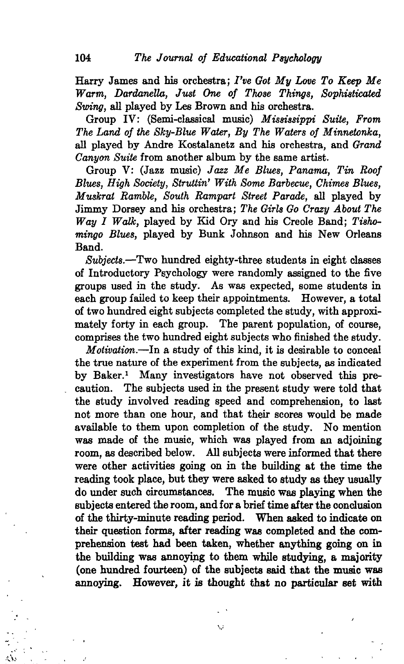Harry James and his orchestra; *I've Got My Love To Keep Me Warm, Dardanella, Just One of Those Things, Sophisticated Swing,* all played by Les Brown and his orchestra.

Group IV: (Semi-classical music) *Mississippi Suite, From The Land of the Sky-Blue Water, By The Waters of Minnetonka,* all played by Andre Kostalanetz and his orchestra, and *Grand Canyon Suite* from another album by the same artist.

Group V: (Jazz music) *Jazz Me Blues, Panama, Tin Roof Blues, High Society, Struttin' With Some Barbecue, Chimes Blues, Muskrat Ramble, South Rampart Street Parade,* all played by Jimmy Dorsey and his orchestra; *The Girls Go Crazy About The Way I Walk,* played by Kid Ory and his Creole Band; *Tishomingo Blues,* played by Bunk Johnson and his New Orleans Band.

*Subjects.*—Two hundred eighty-three students in eight classes of Introductory Psychology were randomly assigned to the five groups used in the study. As was expected, some students in each group failed to keep their appointments. of two hundred eight subjects completed the study, with approximately forty in each group. The parent population, of course, comprises the two hundred eight subjects who finished the study.

*Motivation.*—In a study of this kind, it is desirable to conceal the true nature of the experiment from the subjects, as indicated by Baker.<sup>1</sup> Many investigators have not observed this precaution. The subjects used in the present study were told that the study involved reading speed and comprehension, to last not more than one hour, and that their scores would be made available to them upon completion of the study. No mention was made of the music, which was played from an adjoining room, as described below. All subjects were informed that there were other activities going on in the building at the time the reading took place, but they were asked to study as they usually do under such circumstances. The music was playing when the subjects entered the room, and for a brief time after the conclusion of the thirty-minute reading period. When asked to indicate on their question forms, after reading was completed and the comprehension test had been taken, whether anything going on in the building was annoying to them while studying, a majority (one hundred fourteen) of the subjects said that the music was annoying. However, it is thought that no particular set with

V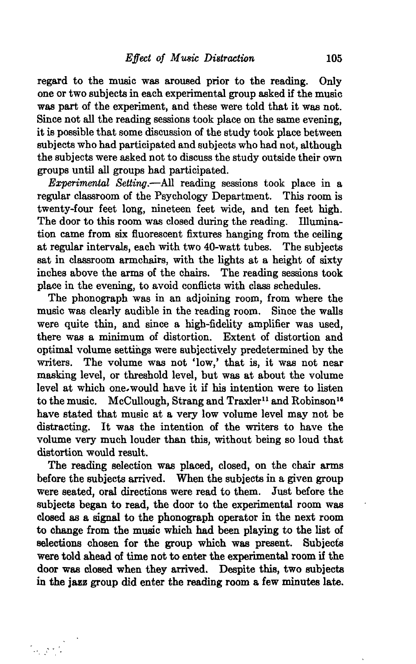regard to the music was aroused prior to the reading. Only one or two subjects in each experimental group asked if the music was part of the experiment, and these were told that it was not. Since not all the reading sessions took place on the same evening, it is possible that some discussion of the study took place between subjects who had participated and subjects who had not, although the subjects were asked not to discuss the study outside their own groups until all groups had participated.

*Experimental Setting.*—All reading sessions took place in a regular classroom of the Psychology Department. This room is twenty-four feet long, nineteen feet wide, and ten feet high. The door to this room was closed during the reading. Illumination came from six fluorescent fixtures hanging from the ceiling at regular intervals, each with two 40-watt tubes. The subjects sat in classroom armchairs, with the lights at a height of sixty inches above the arms of the chairs. The reading sessions took place in the evening, to avoid conflicts with class schedules.

The phonograph was in an adjoining room, from where the music was clearly audible in the reading room. Since the walls were quite thin, and since a high-fidelity amplifier was used, there was a minimum of distortion. Extent of distortion and optimal volume settings were subjectively predetermined by the writers. The volume was not 'low,' that is, it was not near masking level, or threshold level, but was at about the volume level at which one would have it if his intention were to listen to the music. McCullough, Strang and Traxler<sup>11</sup> and Robinson<sup>16</sup> have stated that music at a very low volume level may not be distracting. It was the intention of the writers to have the volume very much louder than this, without being so loud that distortion would result.

The reading selection was placed, closed, on the chair arms before the subjects arrived. When the subjects in a given group were seated, oral directions were read to them. Just before the subjects began to read, the door to the experimental room was closed as a signal to the phonograph operator in the next room to change from the music which had been playing to the list of selections chosen for the group which was present. Subjects were told ahead of time not to enter the experimental room if the door was closed when they arrived. Despite this, two subjects in the jazz group did enter the reading room a few minutes late.

 $\mathcal{L}_{\text{max}}$  ,  $\mathcal{L}_{\text{max}}$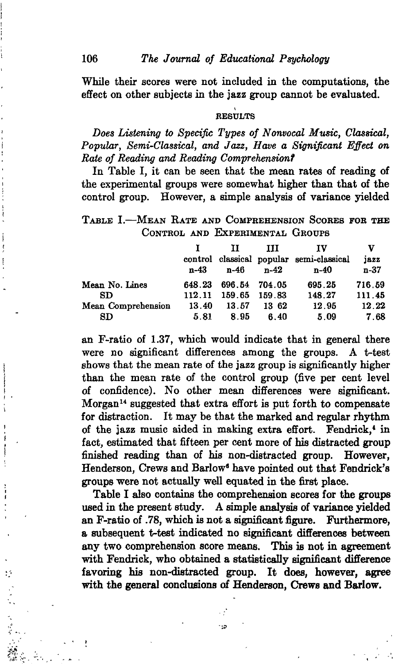While their scores were not included in the computations, the effect on other subjects in the jazz group cannot be evaluated.

#### **RESULTS**

*Does Listening to Specific Types of Nonvocal Music, Classical, Popular, Semi-Classical, and Jazz, Have a Significant Effect on Rate of Reading and Reading Comprehension?*

In Table I, it can be seen that the mean rates of reading of the experimental groups were somewhat higher than that of the control group. However, a simple analysis of variance yielded

TABLE I.-MEAN RATE AND COMPREHENSION SCORES FOR THE CONTROL AND EXPERIMENTAL GROUPS

|                           | $n-43$          | П<br>n-46       | ш<br>$n-42$     | TV<br>control classical popular semi-classical<br>n-40 | v<br>jazz<br>n-37 |
|---------------------------|-----------------|-----------------|-----------------|--------------------------------------------------------|-------------------|
| Mean No. Lines            | 648.23          | 696.54 704.05   |                 | 695.25                                                 | 716.59            |
| SD.<br>Mean Comprehension | 112.11<br>13.40 | 159.65<br>13.57 | 159.83<br>13 62 | 148.27<br>12.95                                        | 111.45<br>12.22   |
| $_{\rm SD}$               | 5.81            | 8.95            | 6.40            | 5.09                                                   | 7.68              |

an F-ratio of 1.37, which would indicate that in general there were no significant differences among the groups. A t-test shows that the mean rate of the jazz group is significantly higher than the mean rate of the control group (five per cent level of confidence). No other mean differences were significant. Morgan<sup>14</sup> suggested that extra effort is put forth to compensate for distraction. It may be that the marked and regular rhythm of the jazz music aided in making extra effort. Fendrick,\* in fact, estimated that fifteen per cent more of his distracted group finished reading than of his non-distracted group. However, Henderson, Crews and Barlow\* have pointed out that Fendrick's groups were not actually well equated in the first place.

Table I also contains the comprehension scores for the groups used in the present study. A simple analysis of variance yielded an F-ratio of .78, which is not a significant figure. Furthermore, a subsequent t-test indicated no significant differences between any two comprehension score means. This is not in agreement with Fendrick, who obtained a statistically significant difference favoring bis non-distracted group. It does, however, agree with the general conclusions of Henderson, Crews and Barlow.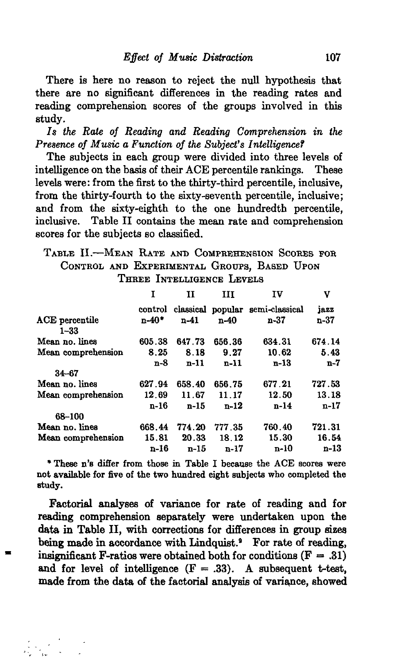There is here no reason to reject the null hypothesis that there are no significant differences in the reading rates and reading comprehension scores of the groups involved in this study.

*Is the Rate of Reading and Reading Comprehension in the Presence of Music a Function of the Subject's Intelligence?*

The subjects in each group were divided into three levels of intelligence on the basis of their ACE percentile rankings. These levels were: from the first to the thirty-third percentile, inclusive, from the thirty-fourth to the sixty-seventh percentile, inclusive; and from the sixty-eighth to the one hundredth percentile, inclusive. Table II contains the mean rate and comprehension scores for the subjects so classified.

### TABLE II.—MEAN RATE AND COMPREHENSION SCORES FOR CONTROL AND EXPERIMENTAL GROUPS, BASED UPON THREE INTELLIGENCE LEVELS

|                            | 1         | н      | ш      | IV                               | v      |
|----------------------------|-----------|--------|--------|----------------------------------|--------|
|                            | control   |        |        | classical popular semi-classical | jazz   |
| ACE percentile<br>$1 - 33$ | $n - 40*$ | $n-41$ | $n-40$ | n-37                             | n-37   |
| Mean no. lines             | 605.38    | 647.73 | 656.36 | 634.31                           | 674.14 |
| Mean comprehension         | 8.25      | 8.18   | 9.27   | 10.62                            | 5.43   |
|                            | n-8       | n-11   | $n-11$ | n-13                             | $n-7$  |
| $34 - 67$                  |           |        |        |                                  |        |
| Mean no. lines             | 627.94    | 658.40 | 656.75 | 677.21                           | 727.53 |
| Mean comprehension         | 12.69     | 11.67  | 11.17  | 12.50                            | 13.18  |
|                            | n-16      | $n-15$ | $n-12$ | $n-14$                           | $n-17$ |
| 68-100                     |           |        |        |                                  |        |
| Mean no. lines             | 668.44    | 774.20 | 777.35 | 760.40                           | 721.31 |
| Mean comprehension         | 15.81     | 20.33  | 18.12  | 15.30                            | 16.54  |
|                            | n-16      | $n-15$ | n-17   | n-10                             | $n-13$ |

•These n's differ from those in Table I because the ACE scores were not available for five of the two hundred eight subjects who completed the study.

Factorial analyses of variance for rate of reading and for reading comprehension separately were undertaken upon the data in Table II, with corrections for differences in group sizes being made in accordance with Lindquist.<sup>9</sup> For rate of reading, insignificant F-ratios were obtained both for conditions  $(F = .31)$ and for level of intelligence  $(F = .33)$ . A subsequent t-test, made from the data of the factorial analysis of variance, showed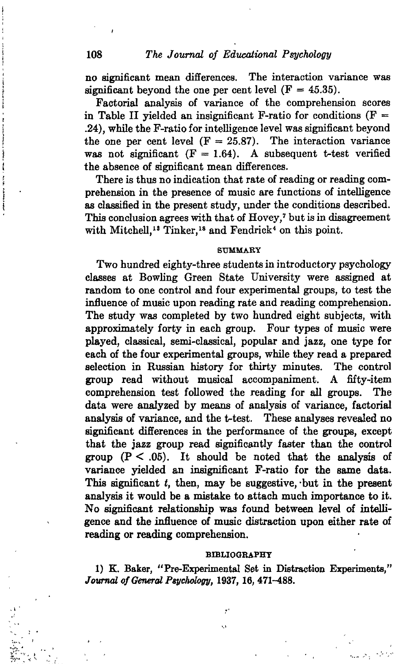no significant mean differences. The interaction variance was significant beyond the one per cent level  $(F = 45.35)$ .

Factorial analysis of variance of the comprehension scores in Table II vielded an insignificant F-ratio for conditions  $(F =$ .24), while the F-ratio for intelligence level was significant beyond the one per cent level  $(F = 25.87)$ . The interaction variance was not significant  $(F = 1.64)$ . A subsequent t-test verified the absence of significant mean differences.

There is thus no indication that rate of reading or reading comprehension in the presence of music are functions of intelligence as classified in the present study, under the conditions described. This conclusion agrees with that of Hovey,7 but is in disagreement with Mitchell,<sup>13</sup> Tinker,<sup>18</sup> and Fendrick<sup>4</sup> on this point.

#### **SUMMARY**

Two hundred eighty-three students in introductory psychology classes at Bowling Green State University were assigned at random to one control and four experimental groups, to test the influence of music upon reading rate and reading comprehension. The study was completed by two hundred eight subjects, with approximately forty in each group. Four types of music were played, classical, semi-classical, popular and jazz, one type for each of the four experimental groups, while they read a prepared selection in Russian history for thirty minutes. The control group read without musical accompaniment. A fifty-item comprehension test followed the reading for all groups. The data were analyzed by means of analysis of variance, factorial analysis of variance, and the t-test. These analyses revealed no significant differences in the performance of the groups, except that the jazz group read significantly faster than the control group  $(P < .05)$ . It should be noted that the analysis of variance yielded an insignificant F-ratio for the same data. This significant *t,* then, may be suggestive, -but in the present analysis it would be a mistake to attach much importance to it. No significant relationship was found between level of intelligence and the influence of music distraction upon either rate of reading or reading comprehension.

#### **BIBLIOGRAPHY**

1) E. Baker, "Pre-Experimental Set in Distraction Experiments," *Journal of General Psychology,* 1937, 16, 471-488.

*•p.'*

**The Manufacture**